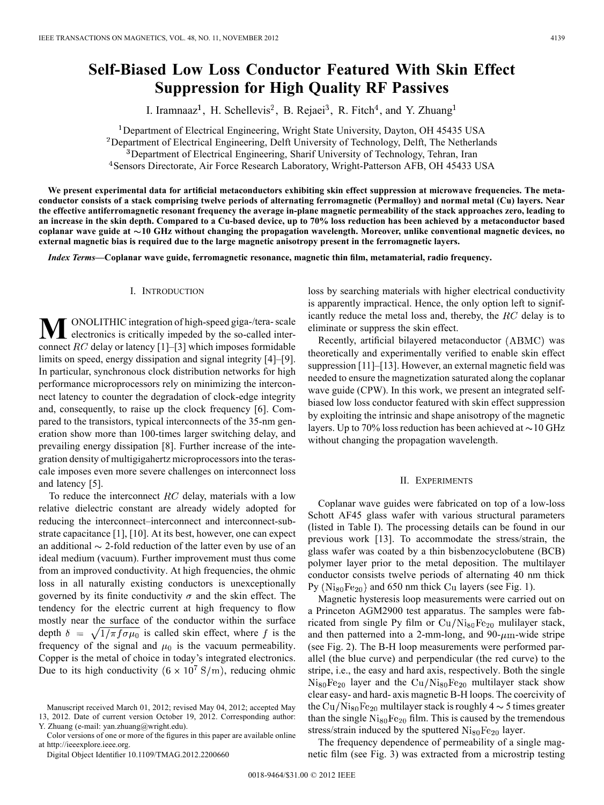# **Self-Biased Low Loss Conductor Featured With Skin Effect Suppression for High Quality RF Passives**

I. Iramnaaz<sup>1</sup>, H. Schellevis<sup>2</sup>, B. Rejaei<sup>3</sup>, R. Fitch<sup>4</sup>, and Y. Zhuang<sup>1</sup>

<sup>1</sup>Department of Electrical Engineering, Wright State University, Dayton, OH 45435 USA <sup>2</sup>Department of Electrical Engineering, Delft University of Technology, Delft, The Netherlands <sup>3</sup>Department of Electrical Engineering, Sharif University of Technology, Tehran, Iran <sup>4</sup> Sensors Directorate, Air Force Research Laboratory, Wright-Patterson AFB, OH 45433 USA

**We present experimental data for artificial metaconductors exhibiting skin effect suppression at microwave frequencies. The metaconductor consists of a stack comprising twelve periods of alternating ferromagnetic (Permalloy) and normal metal (Cu) layers. Near the effective antiferromagnetic resonant frequency the average in-plane magnetic permeability of the stack approaches zero, leading to an increase in the skin depth. Compared to a Cu-based device, up to 70% loss reduction has been achieved by a metaconductor based coplanar wave guide at 10 GHz without changing the propagation wavelength. Moreover, unlike conventional magnetic devices, no external magnetic bias is required due to the large magnetic anisotropy present in the ferromagnetic layers.**

*Index Terms—***Coplanar wave guide, ferromagnetic resonance, magnetic thin film, metamaterial, radio frequency.**

# I. INTRODUCTION

**M** ONOLITHIC integration of high-speed giga-/tera- scale<br>electronics is critically impeded by the so-called interconnect  $RC$  delay or latency [1]–[3] which imposes formidable limits on speed, energy dissipation and signal integrity [4]–[9]. In particular, synchronous clock distribution networks for high performance microprocessors rely on minimizing the interconnect latency to counter the degradation of clock-edge integrity and, consequently, to raise up the clock frequency [6]. Compared to the transistors, typical interconnects of the 35-nm generation show more than 100-times larger switching delay, and prevailing energy dissipation [8]. Further increase of the integration density of multigigahertz microprocessors into the terascale imposes even more severe challenges on interconnect loss and latency [5].

To reduce the interconnect  $RC$  delay, materials with a low relative dielectric constant are already widely adopted for reducing the interconnect–interconnect and interconnect-substrate capacitance [1], [10]. At its best, however, one can expect an additional  $\sim$  2-fold reduction of the latter even by use of an ideal medium (vacuum). Further improvement must thus come from an improved conductivity. At high frequencies, the ohmic loss in all naturally existing conductors is unexceptionally governed by its finite conductivity  $\sigma$  and the skin effect. The tendency for the electric current at high frequency to flow mostly near the surface of the conductor within the surface depth  $\delta = \sqrt{1/\pi f \sigma \mu_0}$  is called skin effect, where f is the frequency of the signal and  $\mu_0$  is the vacuum permeability. Copper is the metal of choice in today's integrated electronics. Due to its high conductivity  $(6 \times 10^7 \text{ S/m})$ , reducing ohmic

Color versions of one or more of the figures in this paper are available online at http://ieeexplore.ieee.org.

Digital Object Identifier 10.1109/TMAG.2012.2200660

loss by searching materials with higher electrical conductivity is apparently impractical. Hence, the only option left to significantly reduce the metal loss and, thereby, the  $RC$  delay is to eliminate or suppress the skin effect.

Recently, artificial bilayered metaconductor (ABMC) was theoretically and experimentally verified to enable skin effect suppression [11]–[13]. However, an external magnetic field was needed to ensure the magnetization saturated along the coplanar wave guide (CPW). In this work, we present an integrated selfbiased low loss conductor featured with skin effect suppression by exploiting the intrinsic and shape anisotropy of the magnetic layers. Up to 70% loss reduction has been achieved at  $\sim$  10 GHz without changing the propagation wavelength.

# II. EXPERIMENTS

Coplanar wave guides were fabricated on top of a low-loss Schott AF45 glass wafer with various structural parameters (listed in Table I). The processing details can be found in our previous work [13]. To accommodate the stress/strain, the glass wafer was coated by a thin bisbenzocyclobutene (BCB) polymer layer prior to the metal deposition. The multilayer conductor consists twelve periods of alternating 40 nm thick  $Py (Ni_{80}Fe_{20})$  and 650 nm thick Cu layers (see Fig. 1).

Magnetic hysteresis loop measurements were carried out on a Princeton AGM2900 test apparatus. The samples were fabricated from single Py film or  $\text{Cu/Ni}_{80}\text{Fe}_{20}$  mulilayer stack, and then patterned into a 2-mm-long, and 90- $\mu$ m-wide stripe (see Fig. 2). The B-H loop measurements were performed parallel (the blue curve) and perpendicular (the red curve) to the stripe, i.e., the easy and hard axis, respectively. Both the single  $Ni_{80}Fe_{20}$  layer and the Cu/ $Ni_{80}Fe_{20}$  multilayer stack show clear easy- and hard- axis magnetic B-H loops. The coercivity of the Cu/Ni<sub>80</sub>Fe<sub>20</sub> multilayer stack is roughly  $4 \sim 5$  times greater than the single  $\mathrm{Ni}_{80}\mathrm{Fe}_{20}$  film. This is caused by the tremendous stress/strain induced by the sputtered  $\mathrm{Ni_{80}Fe_{20}}$  layer.

The frequency dependence of permeability of a single magnetic film (see Fig. 3) was extracted from a microstrip testing

Manuscript received March 01, 2012; revised May 04, 2012; accepted May 13, 2012. Date of current version October 19, 2012. Corresponding author: Y. Zhuang (e-mail: yan.zhuang@wright.edu).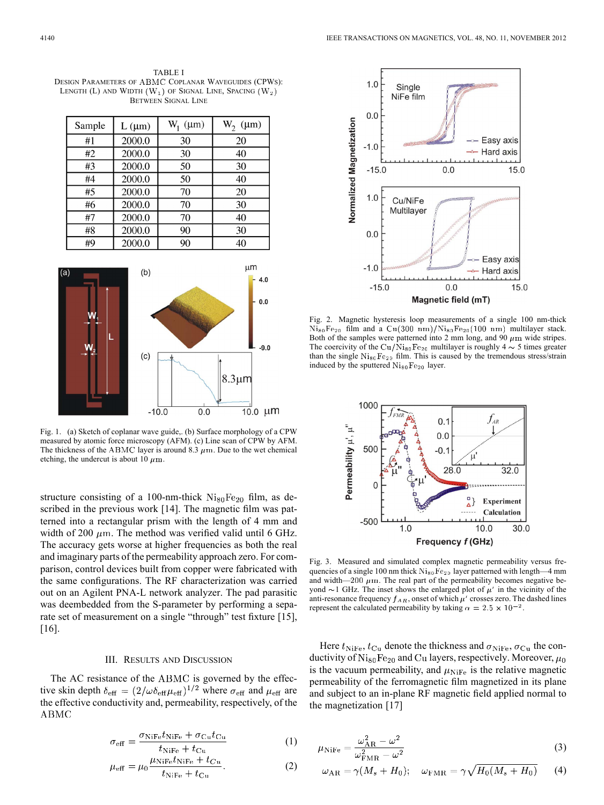TABLE I DESIGN PARAMETERS OF ABMC COPLANAR WAVEGUIDES (CPWS): LENGTH (L) AND WIDTH  $(W_1)$  OF SIGNAL LINE, SPACING  $(W_2)$ BETWEEN SIGNAL LINE

| Sample | $L(\mu m)$ | $W_1$ ( $\mu$ m) | $W_2$<br>$(\mu m)$ |
|--------|------------|------------------|--------------------|
| #1     | 2000.0     | 30               | 20                 |
| #2     | 2000.0     | 30               | 40                 |
| #3     | 2000.0     | 50               | 30                 |
| #4     | 2000.0     | 50               | 40                 |
| #5     | 2000.0     | 70               | 20                 |
| #6     | 2000.0     | 70               | 30                 |
| #7     | 2000.0     | 70               | 40                 |
| #8     | 2000.0     | 90               | 30                 |
| #9     | 2000.0     | 90               | 40                 |



Fig. 1. (a) Sketch of coplanar wave guide,. (b) Surface morphology of a CPW measured by atomic force microscopy (AFM). (c) Line scan of CPW by AFM. The thickness of the ABMC layer is around 8.3  $\mu$ m. Due to the wet chemical etching, the undercut is about 10  $\mu$ m.

structure consisting of a 100-nm-thick  $Ni_{80}Fe_{20}$  film, as described in the previous work [14]. The magnetic film was patterned into a rectangular prism with the length of 4 mm and width of 200  $\mu$ m. The method was verified valid until 6 GHz. The accuracy gets worse at higher frequencies as both the real and imaginary parts of the permeability approach zero. For comparison, control devices built from copper were fabricated with the same configurations. The RF characterization was carried out on an Agilent PNA-L network analyzer. The pad parasitic was deembedded from the S-parameter by performing a separate set of measurement on a single "through" test fixture [15], [16].

### III. RESULTS AND DISCUSSION

The AC resistance of the ABMC is governed by the effective skin depth  $\delta_{\text{eff}} = (2/\omega \delta_{\text{eff}} \mu_{\text{eff}})^{1/2}$  where  $\sigma_{\text{eff}}$  and  $\mu_{\text{eff}}$  are the effective conductivity and, permeability, respectively, of the **ABMC** 

$$
\sigma_{\text{eff}} = \frac{\sigma_{\text{NiFe}}t_{\text{NiFe}} + \sigma_{\text{Cu}}t_{\text{Cu}}}{t_{\text{NiFe}} + t_{\text{Cu}}}
$$
(1)

 $\overline{1}$ 

$$
u_{\text{eff}} = \mu_0 \frac{\mu_{\text{NiFe}} t_{\text{NiFe}} + t_{Cu}}{t_{\text{NiFe}} + t_{Cu}}.\tag{2}
$$



Fig. 2. Magnetic hysteresis loop measurements of a single 100 nm-thick  $\mathrm{Ni}_{80}\mathrm{Fe}_{20}$  film and a  $\mathrm{Cu}(300 \text{ nm})/\mathrm{Ni}_{80}\mathrm{Fe}_{20}(100 \text{ nm})$  multilayer stack. Both of the samples were patterned into 2 mm long, and 90  $\mu$ m wide stripes. The coercivity of the Cu/Ni<sub>80</sub>Fe<sub>20</sub> multilayer is roughly 4  $\sim$  5 times greater than the single  $N_{180}Fe_{20}$  film. This is caused by the tremendous stress/strain induced by the sputtered  $N$ i<sub>80</sub>Fe<sub>20</sub> layer.



Fig. 3. Measured and simulated complex magnetic permeability versus frequencies of a single 100 nm thick  $\mathrm{Ni}_{80}\mathrm{Fe}_{20}$  layer patterned with length—4 mm and width— $200 \mu$ m. The real part of the permeability becomes negative beyond  $\sim$ 1 GHz. The inset shows the enlarged plot of  $\mu'$  in the vicinity of the anti-resonance frequency  $f_{AR}$ , onset of which  $\mu'$  crosses zero. The dashed lines represent the calculated permeability by taking  $\alpha = 2.5 \times 10^{-2}$ .

Here  $t_{\text{NiFe}}$ ,  $t_{\text{Cu}}$  denote the thickness and  $\sigma_{\text{NiFe}}$ ,  $\sigma_{\text{Cu}}$  the conductivity of  $\mathrm{Ni}_{80}\mathrm{Fe}_{20}$  and Cu layers, respectively. Moreover,  $\mu_0$ is the vacuum permeability, and  $\mu_{\text{NiFe}}$  is the relative magnetic permeability of the ferromagnetic film magnetized in its plane and subject to an in-plane RF magnetic field applied normal to the magnetization [17]

$$
u_{\text{NiFe}} = \frac{\omega_{\text{AR}}^2 - \omega^2}{\omega_{\text{FMR}}^2 - \omega^2}
$$
 (3)

$$
\omega_{\rm AR} = \gamma (M_s + H_0); \quad \omega_{\rm FMR} = \gamma \sqrt{H_0 (M_s + H_0)} \tag{4}
$$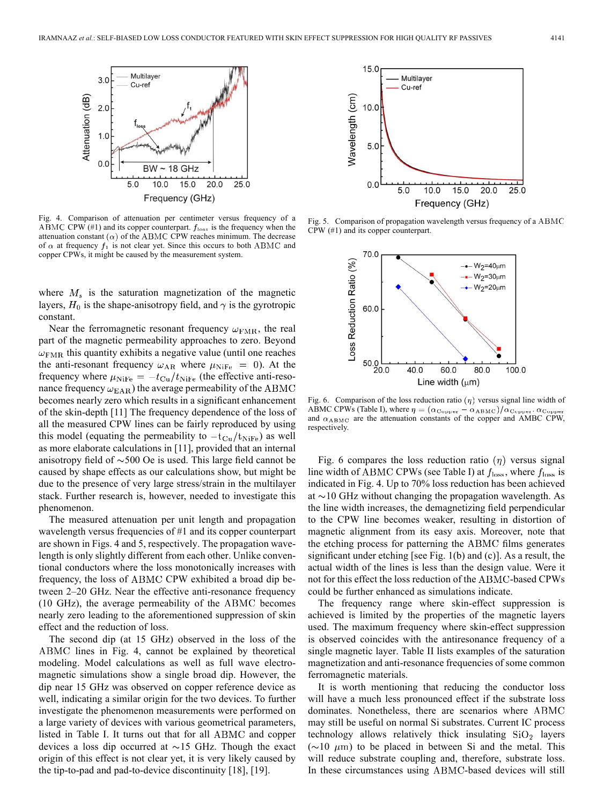

Fig. 4. Comparison of attenuation per centimeter versus frequency of a ABMC CPW  $(41)$  and its copper counterpart.  $f_{loss}$  is the frequency when the attenuation constant  $(\alpha)$  of the ABMC CPW reaches minimum. The decrease of  $\alpha$  at frequency  $f_1$  is not clear yet. Since this occurs to both ABMC and copper CPWs, it might be caused by the measurement system.

where  $M<sub>s</sub>$  is the saturation magnetization of the magnetic layers,  $H_0$  is the shape-anisotropy field, and  $\gamma$  is the gyrotropic constant.

Near the ferromagnetic resonant frequency  $\omega_{\rm FMR}$ , the real part of the magnetic permeability approaches to zero. Beyond  $\omega_{\rm FMR}$  this quantity exhibits a negative value (until one reaches the anti-resonant frequency  $\omega_{AR}$  where  $\mu_{NiFe} = 0$ ). At the frequency where  $\mu_{\text{NiFe}} = -t_{\text{Cu}}/t_{\text{NiFe}}$  (the effective anti-resonance frequency  $\omega_{\rm EAR}$ ) the average permeability of the ABMC becomes nearly zero which results in a significant enhancement of the skin-depth [11] The frequency dependence of the loss of all the measured CPW lines can be fairly reproduced by using this model (equating the permeability to  $-t_{\text{Cu}}/t_{\text{NiFe}}$ ) as well as more elaborate calculations in [11], provided that an internal anisotropy field of  $\sim$ 500 Oe is used. This large field cannot be caused by shape effects as our calculations show, but might be due to the presence of very large stress/strain in the multilayer stack. Further research is, however, needed to investigate this phenomenon.

The measured attenuation per unit length and propagation wavelength versus frequencies of #1 and its copper counterpart are shown in Figs. 4 and 5, respectively. The propagation wavelength is only slightly different from each other. Unlike conventional conductors where the loss monotonically increases with frequency, the loss of ABMC CPW exhibited a broad dip between 2–20 GHz. Near the effective anti-resonance frequency  $(10 \text{ GHz})$ , the average permeability of the ABMC becomes nearly zero leading to the aforementioned suppression of skin effect and the reduction of loss.

The second dip (at 15 GHz) observed in the loss of the ABMC lines in Fig. 4, cannot be explained by theoretical modeling. Model calculations as well as full wave electromagnetic simulations show a single broad dip. However, the dip near 15 GHz was observed on copper reference device as well, indicating a similar origin for the two devices. To further investigate the phenomenon measurements were performed on a large variety of devices with various geometrical parameters, listed in Table I. It turns out that for all ABMC and copper devices a loss dip occurred at  $\sim$ 15 GHz. Though the exact origin of this effect is not clear yet, it is very likely caused by the tip-to-pad and pad-to-device discontinuity [18], [19].



Fig. 5. Comparison of propagation wavelength versus frequency of a ABMC CPW (#1) and its copper counterpart.



Fig. 6. Comparison of the loss reduction ratio  $(\eta)$  versus signal line width of ABMC CPWs (Table I), where  $\eta = (\alpha_{\text{Copper}} - \alpha_{\text{ABMC}})/\alpha_{\text{Copper}}$ .  $\alpha_{\text{Copper}}$ and  $\alpha_{ABMC}$  are the attenuation constants of the copper and AMBC CPW, respectively.

Fig. 6 compares the loss reduction ratio  $(\eta)$  versus signal line width of ABMC CPWs (see Table I) at  $f_{\text{loss}}$ , where  $f_{\text{loss}}$  is indicated in Fig. 4. Up to 70% loss reduction has been achieved at  $\sim$ 10 GHz without changing the propagation wavelength. As the line width increases, the demagnetizing field perpendicular to the CPW line becomes weaker, resulting in distortion of magnetic alignment from its easy axis. Moreover, note that the etching process for patterning the ABMC films generates significant under etching [see Fig. 1(b) and (c)]. As a result, the actual width of the lines is less than the design value. Were it not for this effect the loss reduction of the ABMC-based CPWs could be further enhanced as simulations indicate.

The frequency range where skin-effect suppression is achieved is limited by the properties of the magnetic layers used. The maximum frequency where skin-effect suppression is observed coincides with the antiresonance frequency of a single magnetic layer. Table II lists examples of the saturation magnetization and anti-resonance frequencies of some common ferromagnetic materials.

It is worth mentioning that reducing the conductor loss will have a much less pronounced effect if the substrate loss dominates. Nonetheless, there are scenarios where ABMC may still be useful on normal Si substrates. Current IC process technology allows relatively thick insulating  $SiO<sub>2</sub>$  layers  $(\sim 10 \mu m)$  to be placed in between Si and the metal. This will reduce substrate coupling and, therefore, substrate loss. In these circumstances using ABMC-based devices will still